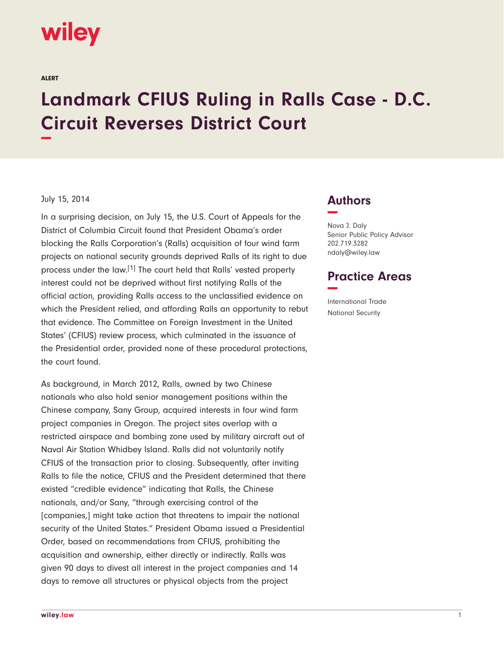# wiley

ALERT

# **Landmark CFIUS Ruling in Ralls Case - D.C. Circuit Reverses District Court −**

#### July 15, 2014

In a surprising decision, on July 15, the U.S. Court of Appeals for the District of Columbia Circuit found that President Obama's order blocking the Ralls Corporation's (Ralls) acquisition of four wind farm projects on national security grounds deprived Ralls of its right to due process under the law.[1] The court held that Ralls' vested property interest could not be deprived without first notifying Ralls of the official action, providing Ralls access to the unclassified evidence on which the President relied, and affording Ralls an opportunity to rebut that evidence. The Committee on Foreign Investment in the United States' (CFIUS) review process, which culminated in the issuance of the Presidential order, provided none of these procedural protections, the court found.

As background, in March 2012, Ralls, owned by two Chinese nationals who also hold senior management positions within the Chinese company, Sany Group, acquired interests in four wind farm project companies in Oregon. The project sites overlap with a restricted airspace and bombing zone used by military aircraft out of Naval Air Station Whidbey Island. Ralls did not voluntarily notify CFIUS of the transaction prior to closing. Subsequently, after inviting Ralls to file the notice, CFIUS and the President determined that there existed "credible evidence" indicating that Ralls, the Chinese nationals, and/or Sany, "through exercising control of the [companies,] might take action that threatens to impair the national security of the United States." President Obama issued a Presidential Order, based on recommendations from CFIUS, prohibiting the acquisition and ownership, either directly or indirectly. Ralls was given 90 days to divest all interest in the project companies and 14 days to remove all structures or physical objects from the project

## **Authors −**

Nova J. Daly Senior Public Policy Advisor 202.719.3282 ndaly@wiley.law

### **Practice Areas −**

International Trade National Security